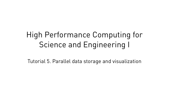# High Performance Computing for Science and Engineering I

Tutorial 5. Parallel data storage and visualization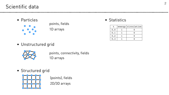### Scientific data

• Particles





• Unstructured grid



• Structured grid



1D arrays points, connectivity, fields

1D arrays points, fields

2D/3D arrays (points), fields • Statistics

| t   | energy circulation |
|-----|--------------------|
| 0.0 |                    |
| 0.1 |                    |
| 0.2 |                    |
| 0.3 |                    |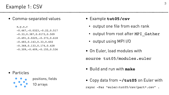#### Example 1: CSV

1D arrays **C C positions**, fields

• Particles







• Comma-separated values

 $X$ ,  $Y$ ,  $Z$ ,  $T$  $-0.467$ ,  $-0.0323$ ,  $-0.22$ ,  $0.517$ -0.33,0.387,0.0173,0.509  $-0.491, 0.0225, -0.373, 0.618$ -0.483,0.143,0.33,0.602 -0.368,0.133,0.174,0.428  $-0.309, -0.409, -0.155, 0.536$ 

- Example **tut05/csv**
	- output one file from each rank
	- output from root after MPI Gather
	- output using MPI I/O
- On Euler, load modules with source tut05/modules.euler
- Build and run with **make**
- Copy data from **~/tut05** on Euler with rsync -Paz "euler:tut05/csv/part\*.csv" .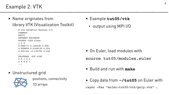#### Example 2: VTK





- Example **tut05/vtk**
	- output using MPI I/O

• Name originates from library VTK (Visualization Toolkit)

```
# vtk DataFile Version 2.0
comment
ASCII
DATASET POLYDATA
POINTS 3328 float
1 0 0
0.988771 0.149438 0.006
0.999859 0.0168139 0.252
0.991144 -0.132792 0.246
...
POLYGONS 832 4160
4 0 1 2 3
4 4 5 6 7
...
```
- On Euler, load modules with source tut05/modules.euler
- Build and run with **make**
- **Partial Figure 1** Figure 1 Copy data from **~/tut05** on Euler with rsync -Paz "euler:tut05/vtk/poly.vtk" .

#### • Unstructured grid



1D arrays